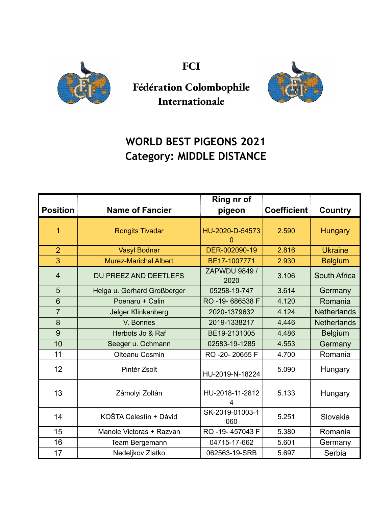

**FCI**



**Fédération Colombophile Internationale**

## **WORLD BEST PIGEONS 2021 Category: MIDDLE DISTANCE**

|                 |                              | Ring nr of                   |                    |                    |
|-----------------|------------------------------|------------------------------|--------------------|--------------------|
| <b>Position</b> | <b>Name of Fancier</b>       | pigeon                       | <b>Coefficient</b> | <b>Country</b>     |
| 1               | <b>Rongits Tivadar</b>       | HU-2020-D-54573              | 2.590              | <b>Hungary</b>     |
| $\overline{2}$  | Vasyl Bodnar                 | DER-002090-19                | 2.816              | <b>Ukraine</b>     |
| 3               | <b>Murez-Marichal Albert</b> | BE17-1007771                 | 2.930              | <b>Belgium</b>     |
| $\overline{4}$  | DU PREEZ AND DEETLEFS        | <b>ZAPWDU 9849 /</b><br>2020 | 3.106              | South Africa       |
| 5               | Helga u. Gerhard Großberger  | 05258-19-747                 | 3.614              | Germany            |
| 6               | Poenaru + Calin              | RO-19-686538 F               | 4.120              | Romania            |
| $\overline{7}$  | Jelger Klinkenberg           | 2020-1379632                 | 4.124              | <b>Netherlands</b> |
| 8               | V. Bonnes                    | 2019-1338217                 | 4.446              | <b>Netherlands</b> |
| 9               | Herbots Jo & Raf             | BE19-2131005                 | 4.486              | <b>Belgium</b>     |
| 10              | Seeger u. Ochmann            | 02583-19-1285                | 4.553              | Germany            |
| 11              | Olteanu Cosmin               | RO -20-20655 F               | 4.700              | Romania            |
| 12              | Pintér Zsolt                 | HU-2019-N-18224              | 5.090              | Hungary            |
| 13              | Zámolyi Zoltán               | HU-2018-11-2812<br>4         | 5.133              | Hungary            |
| 14              | KOŠTA Celestín + Dávid       | SK-2019-01003-1<br>060       | 5.251              | Slovakia           |
| 15              | Manole Victoras + Razvan     | RO-19-457043 F               | 5.380              | Romania            |
| 16              | Team Bergemann               | 04715-17-662                 | 5.601              | Germany            |
| 17              | Nedeljkov Zlatko             | 062563-19-SRB                | 5.697              | Serbia             |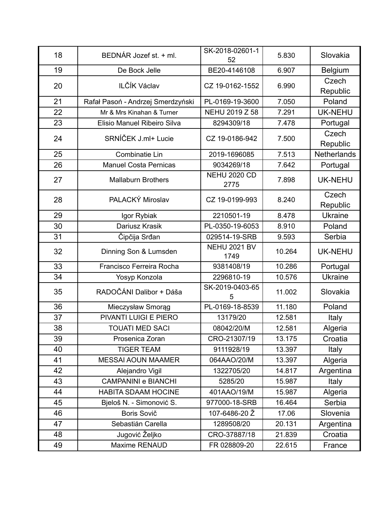| 18 | BEDNÁR Jozef st. + ml.            | SK-2018-02601-1<br>52       | 5.830  | Slovakia           |
|----|-----------------------------------|-----------------------------|--------|--------------------|
| 19 | De Bock Jelle                     | BE20-4146108                | 6.907  | <b>Belgium</b>     |
| 20 | ILČÍK Václav                      | CZ 19-0162-1552             | 6.990  | Czech<br>Republic  |
| 21 | Rafał Pasoń - Andrzej Smerdzyński | PL-0169-19-3600             | 7.050  | Poland             |
| 22 | Mr & Mrs Kinahan & Turner         | NEHU 2019 Z 58              | 7.291  | <b>UK-NEHU</b>     |
| 23 | Elisio Manuel Ribeiro Silva       | 8294309/18                  | 7.478  | Portugal           |
| 24 | SRNÍČEK J.ml+ Lucie               | CZ 19-0186-942              | 7.500  | Czech<br>Republic  |
| 25 | Combinatie Lin                    | 2019-1696085                | 7.513  | <b>Netherlands</b> |
| 26 | <b>Manuel Costa Pernicas</b>      | 9034269/18                  | 7.642  | Portugal           |
| 27 | <b>Mallaburn Brothers</b>         | <b>NEHU 2020 CD</b><br>2775 | 7.898  | <b>UK-NEHU</b>     |
| 28 | PALACKÝ Miroslav                  | CZ 19-0199-993              | 8.240  | Czech<br>Republic  |
| 29 | Igor Rybiak                       | 2210501-19                  | 8.478  | <b>Ukraine</b>     |
| 30 | Dariusz Krasik                    | PL-0350-19-6053             | 8.910  | Poland             |
| 31 | Čipčija Srđan                     | 029514-19-SRB               | 9.593  | Serbia             |
| 32 | Dinning Son & Lumsden             | <b>NEHU 2021 BV</b><br>1749 | 10.264 | <b>UK-NEHU</b>     |
| 33 | Francisco Ferreira Rocha          | 9381408/19                  | 10.286 | Portugal           |
| 34 | Yosyp Konzola                     | 2296810-19                  | 10.576 | <b>Ukraine</b>     |
| 35 | RADOČÁNI Dalibor + Dáša           | SK-2019-0403-65<br>5        | 11.002 | Slovakia           |
| 36 | Mieczysław Smorąg                 | PL-0169-18-8539             | 11.180 | Poland             |
| 37 | PIVANTI LUIGI E PIERO             | 13179/20                    | 12.581 | Italy              |
| 38 | <b>TOUATI MED SACI</b>            | 08042/20/M                  | 12.581 | Algeria            |
| 39 | Prosenica Zoran                   | CRO-21307/19                | 13.175 | Croatia            |
| 40 | <b>TIGER TEAM</b>                 | 9111928/19                  | 13.397 | Italy              |
| 41 | <b>MESSAI AOUN MAAMER</b>         | 064AAO/20/M                 | 13.397 | Algeria            |
| 42 | Alejandro Vigil                   | 1322705/20                  | 14.817 | Argentina          |
| 43 | <b>CAMPANINI e BIANCHI</b>        | 5285/20                     | 15.987 | Italy              |
| 44 | <b>HABITA SDAAM HOCINE</b>        | 401AAO/19/M                 | 15.987 | Algeria            |
| 45 | Bjeloš N. - Simonović S.          | 977000-18-SRB               | 16.464 | Serbia             |
| 46 | Boris Sovič                       | 107-6486-20 Ž               | 17.06  | Slovenia           |
| 47 | Sebastián Carella                 | 1289508/20                  | 20.131 | Argentina          |
| 48 | Jugović Željko                    | CRO-37887/18                | 21.839 | Croatia            |
| 49 | Maxime RENAUD                     | FR 028809-20                | 22.615 | France             |